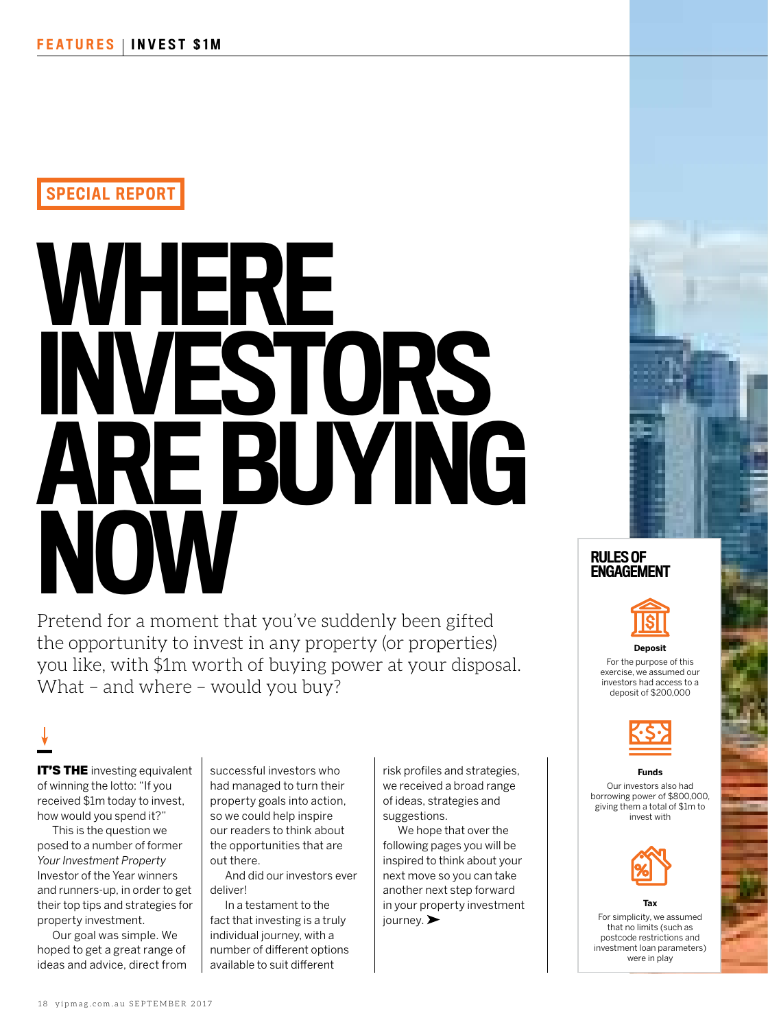## SPECIAL REPORT

# WHERE INVESTORS ARE BUYING **NOW**

Pretend for a moment that you've suddenly been gifted the opportunity to invest in any property (or properties) you like, with \$1m worth of buying power at your disposal. What – and where – would you buy?

**IT'S THE** investing equivalent of winning the lotto: "If you received \$1m today to invest, how would you spend it?"

This is the question we posed to a number of former *Your Investment Property* Investor of the Year winners and runners-up, in order to get their top tips and strategies for property investment.

Our goal was simple. We hoped to get a great range of ideas and advice, direct from successful investors who had managed to turn their property goals into action, so we could help inspire our readers to think about the opportunities that are out there.

And did our investors ever deliver!

In a testament to the fact that investing is a truly individual journey, with a number of different options available to suit different

risk profiles and strategies, we received a broad range of ideas, strategies and suggestions.

We hope that over the following pages you will be inspired to think about your next move so you can take another next step forward in your property investment journey.





#### **Deposit**

For the purpose of this exercise, we assumed our investors had access to a deposit of \$200,000



#### **Funds**

Our investors also had borrowing power of \$800,000, giving them a total of \$1m to invest with



For simplicity, we assumed that no limits (such as postcode restrictions and investment loan parameters) were in play

**Tax**